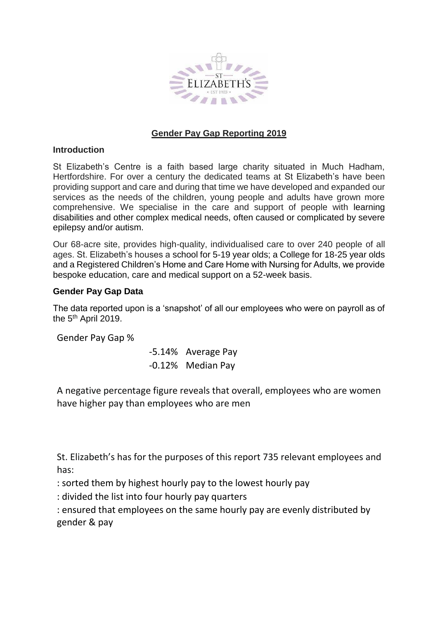

# **Gender Pay Gap Reporting 2019**

### **Introduction**

St Elizabeth's Centre is a faith based large charity situated in Much Hadham, Hertfordshire. For over a century the dedicated teams at St Elizabeth's have been providing support and care and during that time we have developed and expanded our services as the needs of the children, young people and adults have grown more comprehensive. We specialise in the care and support of people with learning disabilities and other complex medical needs, often caused or complicated by severe epilepsy and/or autism.

Our 68-acre site, provides high-quality, individualised care to over 240 people of all ages. St. Elizabeth's houses a school for 5-19 year olds; a College for 18-25 year olds and a Registered Children's Home and Care Home with Nursing for Adults, we provide bespoke education, care and medical support on a 52-week basis.

## **Gender Pay Gap Data**

The data reported upon is a 'snapshot' of all our employees who were on payroll as of the 5<sup>th</sup> April 2019.

Gender Pay Gap %

-5.14% Average Pay -0.12% Median Pay

A negative percentage figure reveals that overall, employees who are women have higher pay than employees who are men

St. Elizabeth's has for the purposes of this report 735 relevant employees and has:

: sorted them by highest hourly pay to the lowest hourly pay

: divided the list into four hourly pay quarters

: ensured that employees on the same hourly pay are evenly distributed by gender & pay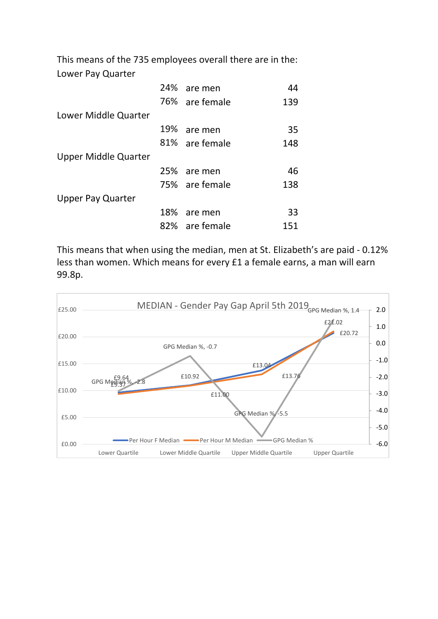This means of the 735 employees overall there are in the: Lower Pay Quarter

|                             | 24% are men    | 44  |
|-----------------------------|----------------|-----|
|                             | 76% are female | 139 |
| Lower Middle Quarter        |                |     |
|                             | 19% are men    | 35  |
|                             | 81% are female | 148 |
| <b>Upper Middle Quarter</b> |                |     |
|                             | 25% are men    | 46  |
|                             | 75% are female | 138 |
| <b>Upper Pay Quarter</b>    |                |     |
|                             | 18% are men    | 33  |
|                             | 82% are female | 151 |

This means that when using the median, men at St. Elizabeth's are paid - 0.12% less than women. Which means for every £1 a female earns, a man will earn 99.8p.

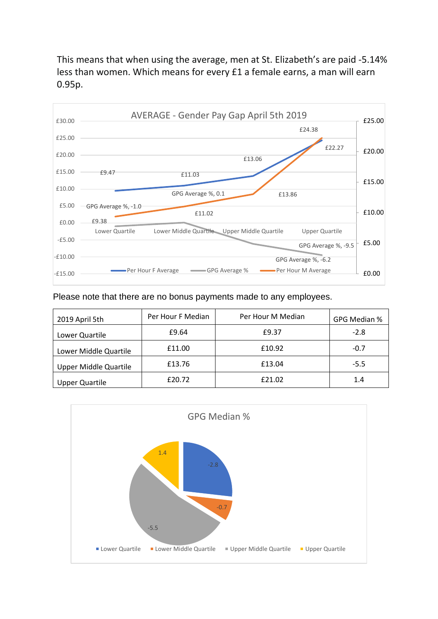This means that when using the average, men at St. Elizabeth's are paid -5.14% less than women. Which means for every £1 a female earns, a man will earn 0.95p.



Please note that there are no bonus payments made to any employees.

| 2019 April 5th               | Per Hour F Median | Per Hour M Median | GPG Median % |
|------------------------------|-------------------|-------------------|--------------|
| Lower Quartile               | £9.64             | £9.37             | $-2.8$       |
| Lower Middle Quartile        | £11.00            | £10.92            | $-0.7$       |
| <b>Upper Middle Quartile</b> | £13.76            | £13.04            | $-5.5$       |
| <b>Upper Quartile</b>        | £20.72            | £21.02            | 1.4          |

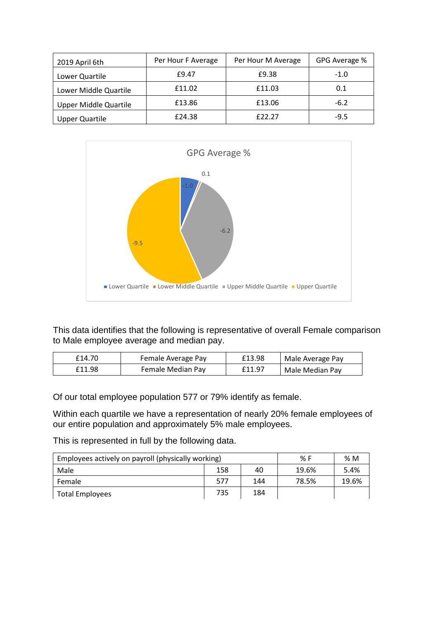| 2019 April 6th               | Per Hour F Average | Per Hour M Average | GPG Average % |
|------------------------------|--------------------|--------------------|---------------|
| Lower Quartile               | £9.47              | £9.38              | $-1.0$        |
| Lower Middle Quartile        | £11.02             | £11.03             | 0.1           |
| <b>Upper Middle Quartile</b> | £13.86             | £13.06             | $-6.2$        |
| <b>Upper Quartile</b>        | £24.38             | f22.27             | $-9.5$        |



This data identifies that the following is representative of overall Female comparison to Male employee average and median pay.

| £14.70 | Female Average Pay | £13.98 | Male Average Pay |
|--------|--------------------|--------|------------------|
| £11.98 | Female Median Pay  | £11.97 | Male Median Pay  |

Of our total employee population 577 or 79% identify as female.

Within each quartile we have a representation of nearly 20% female employees of our entire population and approximately 5% male employees.

This is represented in full by the following data.

| Employees actively on payroll (physically working) | % F | %M  |       |       |
|----------------------------------------------------|-----|-----|-------|-------|
| Male                                               | 158 | 40  | 19.6% | 5.4%  |
| Female                                             | 577 | 144 | 78.5% | 19.6% |
| Total Employees                                    | 735 | 184 |       |       |